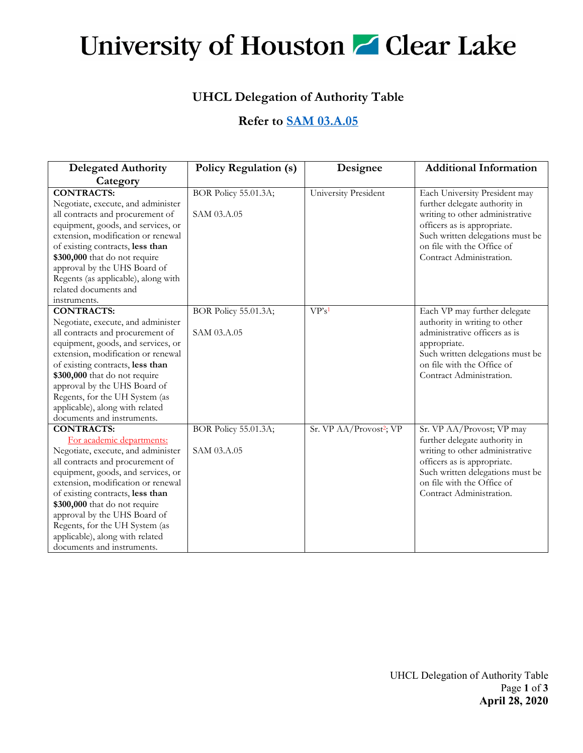## University of Houston **Z** Clear Lake

## **UHCL Delegation of Authority Table**

## **Refer to [SAM 03.A.05](http://www.uhsystem.edu/compliance-ethics/_docs/sam/03/3a5.pdf)**

| <b>Delegated Authority</b>          | <b>Policy Regulation (s)</b> | Designee                            | <b>Additional Information</b>    |
|-------------------------------------|------------------------------|-------------------------------------|----------------------------------|
| Category                            |                              |                                     |                                  |
| <b>CONTRACTS:</b>                   | <b>BOR Policy 55.01.3A;</b>  | University President                | Each University President may    |
| Negotiate, execute, and administer  |                              |                                     | further delegate authority in    |
| all contracts and procurement of    | SAM 03.A.05                  |                                     | writing to other administrative  |
| equipment, goods, and services, or  |                              |                                     | officers as is appropriate.      |
| extension, modification or renewal  |                              |                                     | Such written delegations must be |
| of existing contracts, less than    |                              |                                     | on file with the Office of       |
| \$300,000 that do not require       |                              |                                     | Contract Administration.         |
| approval by the UHS Board of        |                              |                                     |                                  |
| Regents (as applicable), along with |                              |                                     |                                  |
| related documents and               |                              |                                     |                                  |
| instruments.                        |                              |                                     |                                  |
| <b>CONTRACTS:</b>                   | BOR Policy 55.01.3A;         | VP's <sup>1</sup>                   | Each VP may further delegate     |
| Negotiate, execute, and administer  |                              |                                     | authority in writing to other    |
| all contracts and procurement of    | SAM 03.A.05                  |                                     | administrative officers as is    |
| equipment, goods, and services, or  |                              |                                     | appropriate.                     |
| extension, modification or renewal  |                              |                                     | Such written delegations must be |
| of existing contracts, less than    |                              |                                     | on file with the Office of       |
| \$300,000 that do not require       |                              |                                     | Contract Administration.         |
| approval by the UHS Board of        |                              |                                     |                                  |
| Regents, for the UH System (as      |                              |                                     |                                  |
| applicable), along with related     |                              |                                     |                                  |
| documents and instruments.          |                              |                                     |                                  |
| <b>CONTRACTS:</b>                   | BOR Policy 55.01.3A;         | Sr. VP AA/Provost <sup>2</sup> ; VP | Sr. VP AA/Provost; VP may        |
| For academic departments:           |                              |                                     | further delegate authority in    |
| Negotiate, execute, and administer  | SAM 03.A.05                  |                                     | writing to other administrative  |
| all contracts and procurement of    |                              |                                     | officers as is appropriate.      |
| equipment, goods, and services, or  |                              |                                     | Such written delegations must be |
| extension, modification or renewal  |                              |                                     | on file with the Office of       |
| of existing contracts, less than    |                              |                                     | Contract Administration.         |
| \$300,000 that do not require       |                              |                                     |                                  |
| approval by the UHS Board of        |                              |                                     |                                  |
| Regents, for the UH System (as      |                              |                                     |                                  |
| applicable), along with related     |                              |                                     |                                  |
| documents and instruments.          |                              |                                     |                                  |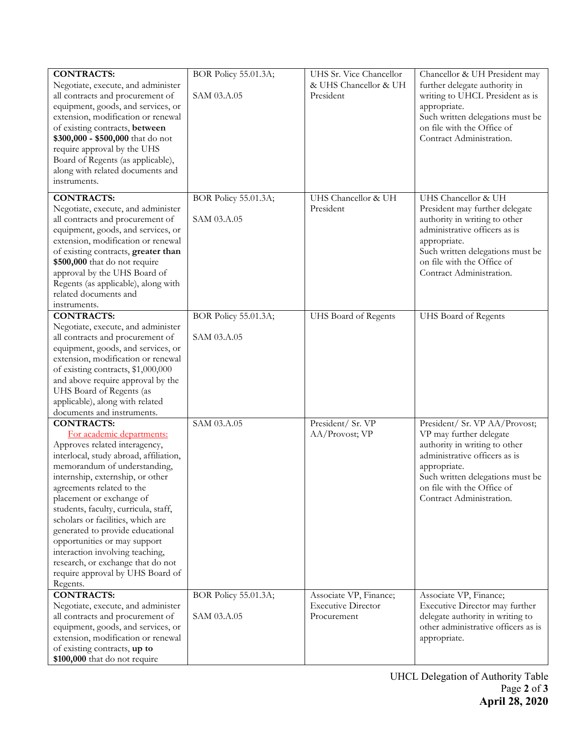| <b>CONTRACTS:</b>                      | BOR Policy 55.01.3A;        | UHS Sr. Vice Chancellor   | Chancellor & UH President may       |
|----------------------------------------|-----------------------------|---------------------------|-------------------------------------|
| Negotiate, execute, and administer     |                             | & UHS Chancellor & UH     | further delegate authority in       |
| all contracts and procurement of       | SAM 03.A.05                 | President                 | writing to UHCL President as is     |
| equipment, goods, and services, or     |                             |                           | appropriate.                        |
| extension, modification or renewal     |                             |                           | Such written delegations must be    |
| of existing contracts, between         |                             |                           | on file with the Office of          |
| \$300,000 - \$500,000 that do not      |                             |                           | Contract Administration.            |
| require approval by the UHS            |                             |                           |                                     |
| Board of Regents (as applicable),      |                             |                           |                                     |
| along with related documents and       |                             |                           |                                     |
| instruments.                           |                             |                           |                                     |
| <b>CONTRACTS:</b>                      | BOR Policy 55.01.3A;        | UHS Chancellor & UH       | UHS Chancellor & UH                 |
| Negotiate, execute, and administer     |                             | President                 | President may further delegate      |
| all contracts and procurement of       | SAM 03.A.05                 |                           | authority in writing to other       |
| equipment, goods, and services, or     |                             |                           | administrative officers as is       |
| extension, modification or renewal     |                             |                           | appropriate.                        |
| of existing contracts, greater than    |                             |                           | Such written delegations must be    |
| \$500,000 that do not require          |                             |                           | on file with the Office of          |
| approval by the UHS Board of           |                             |                           | Contract Administration.            |
| Regents (as applicable), along with    |                             |                           |                                     |
| related documents and                  |                             |                           |                                     |
| instruments.                           |                             |                           |                                     |
| <b>CONTRACTS:</b>                      | <b>BOR Policy 55.01.3A;</b> | UHS Board of Regents      | <b>UHS Board of Regents</b>         |
| Negotiate, execute, and administer     |                             |                           |                                     |
| all contracts and procurement of       | SAM 03.A.05                 |                           |                                     |
| equipment, goods, and services, or     |                             |                           |                                     |
| extension, modification or renewal     |                             |                           |                                     |
| of existing contracts, \$1,000,000     |                             |                           |                                     |
| and above require approval by the      |                             |                           |                                     |
| UHS Board of Regents (as               |                             |                           |                                     |
| applicable), along with related        |                             |                           |                                     |
| documents and instruments.             |                             |                           |                                     |
| <b>CONTRACTS:</b>                      | SAM 03.A.05                 | President/ Sr. VP         | President/ Sr. VP AA/Provost;       |
| For academic departments:              |                             | AA/Provost; VP            | VP may further delegate             |
| Approves related interagency,          |                             |                           | authority in writing to other       |
| interlocal, study abroad, affiliation, |                             |                           | administrative officers as is       |
| memorandum of understanding,           |                             |                           | appropriate.                        |
| internship, externship, or other       |                             |                           | Such written delegations must be    |
| agreements related to the              |                             |                           | on file with the Office of          |
| placement or exchange of               |                             |                           | Contract Administration.            |
| students, faculty, curricula, staff,   |                             |                           |                                     |
| scholars or facilities, which are      |                             |                           |                                     |
| generated to provide educational       |                             |                           |                                     |
| opportunities or may support           |                             |                           |                                     |
| interaction involving teaching,        |                             |                           |                                     |
| research, or exchange that do not      |                             |                           |                                     |
| require approval by UHS Board of       |                             |                           |                                     |
| Regents.                               |                             |                           |                                     |
| <b>CONTRACTS:</b>                      | BOR Policy 55.01.3A;        | Associate VP, Finance;    | Associate VP, Finance;              |
| Negotiate, execute, and administer     |                             | <b>Executive Director</b> | Executive Director may further      |
| all contracts and procurement of       | SAM 03.A.05                 | Procurement               | delegate authority in writing to    |
| equipment, goods, and services, or     |                             |                           | other administrative officers as is |
| extension, modification or renewal     |                             |                           | appropriate.                        |
| of existing contracts, up to           |                             |                           |                                     |
| \$100,000 that do not require          |                             |                           |                                     |